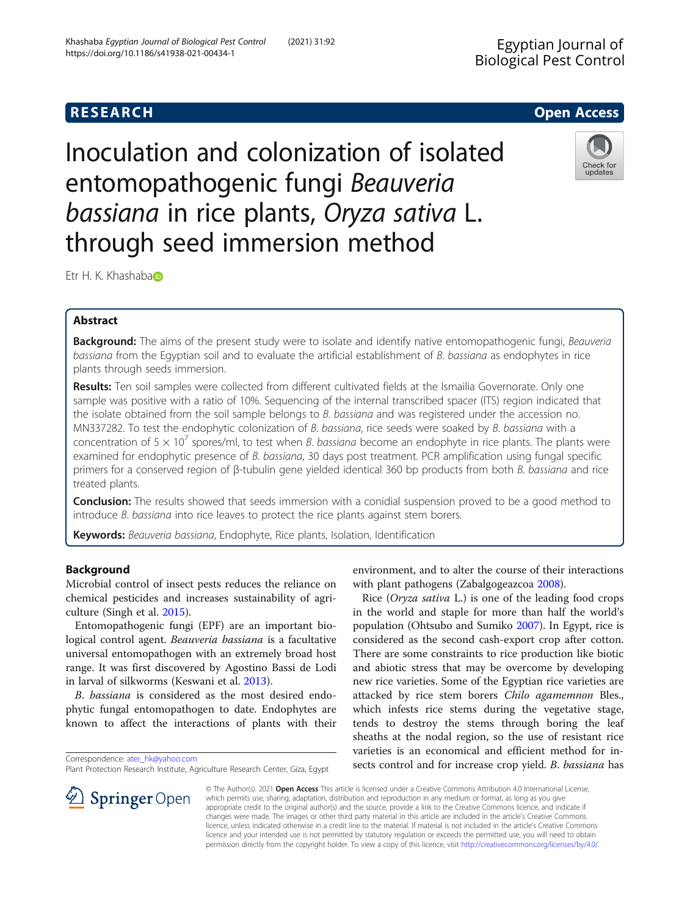# **RESEARCH CHE Open Access**

Inoculation and colonization of isolated entomopathogenic fungi Beauveria bassiana in rice plants, Oryza sativa L. through seed immersion method



Etr H. K. Khashaba®

## Abstract

Background: The aims of the present study were to isolate and identify native entomopathogenic fungi, Beauveria bassiana from the Egyptian soil and to evaluate the artificial establishment of B. bassiana as endophytes in rice plants through seeds immersion.

Results: Ten soil samples were collected from different cultivated fields at the Ismailia Governorate. Only one sample was positive with a ratio of 10%. Sequencing of the internal transcribed spacer (ITS) region indicated that the isolate obtained from the soil sample belongs to B. bassiana and was registered under the accession no. MN337282. To test the endophytic colonization of B. bassiana, rice seeds were soaked by B. bassiana with a concentration of 5  $\times$  10<sup>7</sup> spores/ml, to test when *B. bassiana* become an endophyte in rice plants. The plants were examined for endophytic presence of B. bassiana, 30 days post treatment. PCR amplification using fungal specific primers for a conserved region of β-tubulin gene yielded identical 360 bp products from both B. bassiana and rice treated plants.

**Conclusion:** The results showed that seeds immersion with a conidial suspension proved to be a good method to introduce B. bassiana into rice leaves to protect the rice plants against stem borers.

Keywords: Beauveria bassiana, Endophyte, Rice plants, Isolation, Identification

## Background

Microbial control of insect pests reduces the reliance on chemical pesticides and increases sustainability of agriculture (Singh et al. [2015\)](#page-5-0).

Entomopathogenic fungi (EPF) are an important biological control agent. Beauveria bassiana is a facultative universal entomopathogen with an extremely broad host range. It was first discovered by Agostino Bassi de Lodi in larval of silkworms (Keswani et al. [2013](#page-5-0)).

B. bassiana is considered as the most desired endophytic fungal entomopathogen to date. Endophytes are known to affect the interactions of plants with their

l SpringerOpen

environment, and to alter the course of their interactions with plant pathogens (Zabalgogeazcoa [2008\)](#page-6-0).

Rice (Oryza sativa L.) is one of the leading food crops in the world and staple for more than half the world's population (Ohtsubo and Sumiko [2007\)](#page-5-0). In Egypt, rice is considered as the second cash-export crop after cotton. There are some constraints to rice production like biotic and abiotic stress that may be overcome by developing new rice varieties. Some of the Egyptian rice varieties are attacked by rice stem borers Chilo agamemnon Bles., which infests rice stems during the vegetative stage, tends to destroy the stems through boring the leaf sheaths at the nodal region, so the use of resistant rice varieties is an economical and efficient method for insects control and for increase crop yield. B. bassiana has

© The Author(s). 2021 Open Access This article is licensed under a Creative Commons Attribution 4.0 International License, which permits use, sharing, adaptation, distribution and reproduction in any medium or format, as long as you give appropriate credit to the original author(s) and the source, provide a link to the Creative Commons licence, and indicate if changes were made. The images or other third party material in this article are included in the article's Creative Commons licence, unless indicated otherwise in a credit line to the material. If material is not included in the article's Creative Commons licence and your intended use is not permitted by statutory regulation or exceeds the permitted use, you will need to obtain permission directly from the copyright holder. To view a copy of this licence, visit <http://creativecommons.org/licenses/by/4.0/>.

Correspondence: [ater\\_hk@yahoo.com](mailto:ater_hk@yahoo.com)

Plant Protection Research Institute, Agriculture Research Center, Giza, Egypt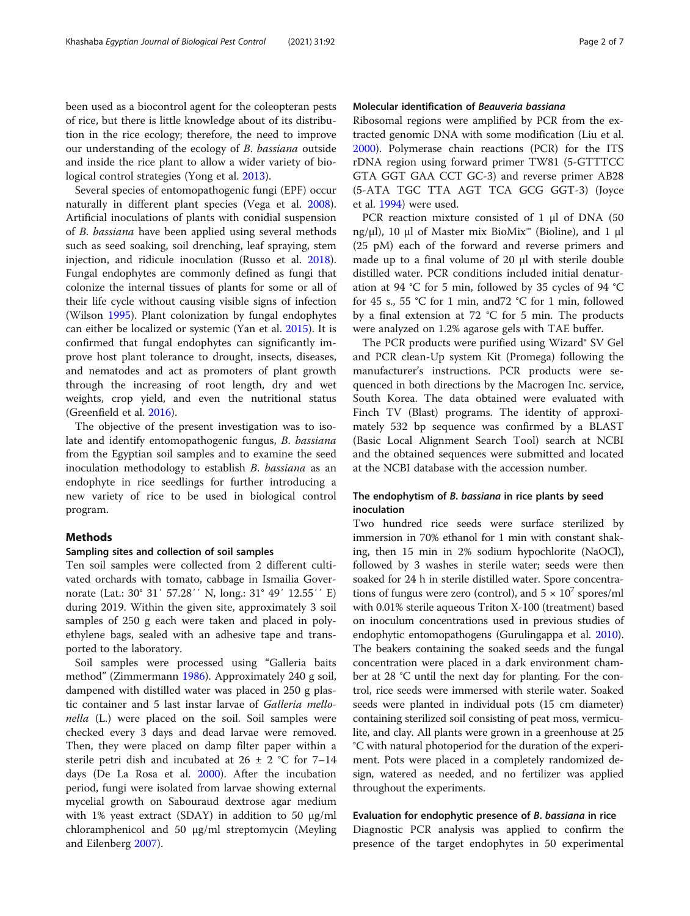been used as a biocontrol agent for the coleopteran pests of rice, but there is little knowledge about of its distribution in the rice ecology; therefore, the need to improve our understanding of the ecology of B. bassiana outside and inside the rice plant to allow a wider variety of biological control strategies (Yong et al. [2013\)](#page-6-0).

Several species of entomopathogenic fungi (EPF) occur naturally in different plant species (Vega et al. [2008](#page-6-0)). Artificial inoculations of plants with conidial suspension of B. bassiana have been applied using several methods such as seed soaking, soil drenching, leaf spraying, stem injection, and ridicule inoculation (Russo et al. [2018](#page-5-0)). Fungal endophytes are commonly defined as fungi that colonize the internal tissues of plants for some or all of their life cycle without causing visible signs of infection (Wilson [1995\)](#page-6-0). Plant colonization by fungal endophytes can either be localized or systemic (Yan et al. [2015](#page-6-0)). It is confirmed that fungal endophytes can significantly improve host plant tolerance to drought, insects, diseases, and nematodes and act as promoters of plant growth through the increasing of root length, dry and wet weights, crop yield, and even the nutritional status (Greenfield et al. [2016\)](#page-5-0).

The objective of the present investigation was to isolate and identify entomopathogenic fungus, B. bassiana from the Egyptian soil samples and to examine the seed inoculation methodology to establish B. bassiana as an endophyte in rice seedlings for further introducing a new variety of rice to be used in biological control program.

## Methods

## Sampling sites and collection of soil samples

Ten soil samples were collected from 2 different cultivated orchards with tomato, cabbage in Ismailia Governorate (Lat.: 30° 31′ 57.28′′ N, long.: 31° 49′ 12.55′′ E) during 2019. Within the given site, approximately 3 soil samples of 250 g each were taken and placed in polyethylene bags, sealed with an adhesive tape and transported to the laboratory.

Soil samples were processed using "Galleria baits method" (Zimmermann [1986\)](#page-6-0). Approximately 240 g soil, dampened with distilled water was placed in 250 g plastic container and 5 last instar larvae of Galleria mellonella (L.) were placed on the soil. Soil samples were checked every 3 days and dead larvae were removed. Then, they were placed on damp filter paper within a sterile petri dish and incubated at  $26 \pm 2$  °C for 7–14 days (De La Rosa et al. [2000](#page-5-0)). After the incubation period, fungi were isolated from larvae showing external mycelial growth on Sabouraud dextrose agar medium with 1% yeast extract (SDAY) in addition to 50  $\mu$ g/ml chloramphenicol and 50 μg/ml streptomycin (Meyling and Eilenberg [2007\)](#page-5-0).

## Molecular identification of Beauveria bassiana

Ribosomal regions were amplified by PCR from the extracted genomic DNA with some modification (Liu et al. [2000](#page-5-0)). Polymerase chain reactions (PCR) for the ITS rDNA region using forward primer TW81 (5-GTTTCC GTA GGT GAA CCT GC-3) and reverse primer AB28 (5-ATA TGC TTA AGT TCA GCG GGT-3) (Joyce et al. [1994\)](#page-5-0) were used.

PCR reaction mixture consisted of 1 μl of DNA (50 ng/μl), 10 μl of Master mix BioMix™ (Bioline), and 1 μl (25 pM) each of the forward and reverse primers and made up to a final volume of 20 μl with sterile double distilled water. PCR conditions included initial denaturation at 94 °C for 5 min, followed by 35 cycles of 94 °C for 45 s., 55 °C for 1 min, and72 °C for 1 min, followed by a final extension at 72 °C for 5 min. The products were analyzed on 1.2% agarose gels with TAE buffer.

The PCR products were purified using Wizard® SV Gel and PCR clean-Up system Kit (Promega) following the manufacturer's instructions. PCR products were sequenced in both directions by the Macrogen Inc. service, South Korea. The data obtained were evaluated with Finch TV (Blast) programs. The identity of approximately 532 bp sequence was confirmed by a BLAST (Basic Local Alignment Search Tool) search at NCBI and the obtained sequences were submitted and located at the NCBI database with the accession number.

### The endophytism of B. bassiana in rice plants by seed inoculation

Two hundred rice seeds were surface sterilized by immersion in 70% ethanol for 1 min with constant shaking, then 15 min in 2% sodium hypochlorite (NaOCl), followed by 3 washes in sterile water; seeds were then soaked for 24 h in sterile distilled water. Spore concentrations of fungus were zero (control), and  $5 \times 10^7$  spores/ml with 0.01% sterile aqueous Triton X-100 (treatment) based on inoculum concentrations used in previous studies of endophytic entomopathogens (Gurulingappa et al. [2010](#page-5-0)). The beakers containing the soaked seeds and the fungal concentration were placed in a dark environment chamber at 28 °C until the next day for planting. For the control, rice seeds were immersed with sterile water. Soaked seeds were planted in individual pots (15 cm diameter) containing sterilized soil consisting of peat moss, vermiculite, and clay. All plants were grown in a greenhouse at 25 °C with natural photoperiod for the duration of the experiment. Pots were placed in a completely randomized design, watered as needed, and no fertilizer was applied throughout the experiments.

#### Evaluation for endophytic presence of B. bassiana in rice

Diagnostic PCR analysis was applied to confirm the presence of the target endophytes in 50 experimental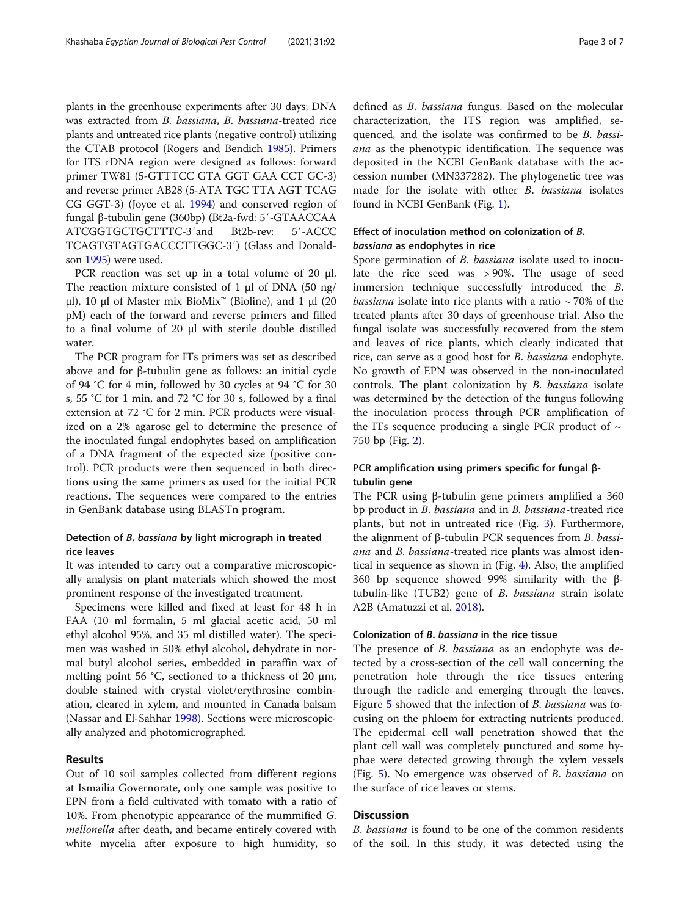plants in the greenhouse experiments after 30 days; DNA was extracted from B. bassiana, B. bassiana-treated rice plants and untreated rice plants (negative control) utilizing the CTAB protocol (Rogers and Bendich [1985](#page-5-0)). Primers for ITS rDNA region were designed as follows: forward primer TW81 (5-GTTTCC GTA GGT GAA CCT GC-3) and reverse primer AB28 (5-ATA TGC TTA AGT TCAG CG GGT-3) (Joyce et al. [1994\)](#page-5-0) and conserved region of fungal β-tubulin gene (360bp) (Bt2a-fwd: 5′-GTAACCAA ATCGGTGCTGCTTTC-3′and Bt2b-rev: 5′-ACCC TCAGTGTAGTGACCCTTGGC-3′) (Glass and Donaldson [1995\)](#page-5-0) were used.

PCR reaction was set up in a total volume of 20  $\mu$ l. The reaction mixture consisted of 1 μl of DNA (50 ng/ μl), 10 μl of Master mix BioMix<sup>™</sup> (Bioline), and 1 μl (20 pM) each of the forward and reverse primers and filled to a final volume of 20 μl with sterile double distilled water.

The PCR program for ITs primers was set as described above and for β-tubulin gene as follows: an initial cycle of 94 °C for 4 min, followed by 30 cycles at 94 °C for 30 s, 55 °C for 1 min, and 72 °C for 30 s, followed by a final extension at 72 °C for 2 min. PCR products were visualized on a 2% agarose gel to determine the presence of the inoculated fungal endophytes based on amplification of a DNA fragment of the expected size (positive control). PCR products were then sequenced in both directions using the same primers as used for the initial PCR reactions. The sequences were compared to the entries in GenBank database using BLASTn program.

## Detection of B. bassiana by light micrograph in treated rice leaves

It was intended to carry out a comparative microscopically analysis on plant materials which showed the most prominent response of the investigated treatment.

Specimens were killed and fixed at least for 48 h in FAA (10 ml formalin, 5 ml glacial acetic acid, 50 ml ethyl alcohol 95%, and 35 ml distilled water). The specimen was washed in 50% ethyl alcohol, dehydrate in normal butyl alcohol series, embedded in paraffin wax of melting point 56 °C, sectioned to a thickness of 20 μm, double stained with crystal violet/erythrosine combination, cleared in xylem, and mounted in Canada balsam (Nassar and El-Sahhar [1998](#page-5-0)). Sections were microscopically analyzed and photomicrographed.

### Results

Out of 10 soil samples collected from different regions at Ismailia Governorate, only one sample was positive to EPN from a field cultivated with tomato with a ratio of 10%. From phenotypic appearance of the mummified G. mellonella after death, and became entirely covered with white mycelia after exposure to high humidity, so defined as B. bassiana fungus. Based on the molecular characterization, the ITS region was amplified, sequenced, and the isolate was confirmed to be B. bassiana as the phenotypic identification. The sequence was deposited in the NCBI GenBank database with the accession number (MN337282). The phylogenetic tree was made for the isolate with other B. bassiana isolates found in NCBI GenBank (Fig. [1\)](#page-3-0).

## Effect of inoculation method on colonization of B. bassiana as endophytes in rice

Spore germination of *B. bassiana* isolate used to inoculate the rice seed was > 90%. The usage of seed immersion technique successfully introduced the B. *bassiana* isolate into rice plants with a ratio  $\sim$  70% of the treated plants after 30 days of greenhouse trial. Also the fungal isolate was successfully recovered from the stem and leaves of rice plants, which clearly indicated that rice, can serve as a good host for B. bassiana endophyte. No growth of EPN was observed in the non-inoculated controls. The plant colonization by B. bassiana isolate was determined by the detection of the fungus following the inoculation process through PCR amplification of the ITs sequence producing a single PCR product of  $\sim$ 750 bp (Fig. [2](#page-3-0)).

## PCR amplification using primers specific for fungal βtubulin gene

The PCR using β-tubulin gene primers amplified a 360 bp product in B. bassiana and in B. bassiana-treated rice plants, but not in untreated rice (Fig. [3\)](#page-3-0). Furthermore, the alignment of <sup>β</sup>-tubulin PCR sequences from B. bassiana and B. bassiana-treated rice plants was almost identical in sequence as shown in (Fig. [4](#page-4-0)). Also, the amplified 360 bp sequence showed 99% similarity with the βtubulin-like (TUB2) gene of *B. bassiana* strain isolate A2B (Amatuzzi et al. [2018\)](#page-5-0).

#### Colonization of B. bassiana in the rice tissue

The presence of *B. bassiana* as an endophyte was detected by a cross-section of the cell wall concerning the penetration hole through the rice tissues entering through the radicle and emerging through the leaves. Figure [5](#page-4-0) showed that the infection of *B. bassiana* was focusing on the phloem for extracting nutrients produced. The epidermal cell wall penetration showed that the plant cell wall was completely punctured and some hyphae were detected growing through the xylem vessels (Fig. [5](#page-4-0)). No emergence was observed of B. bassiana on the surface of rice leaves or stems.

## **Discussion**

B. bassiana is found to be one of the common residents of the soil. In this study, it was detected using the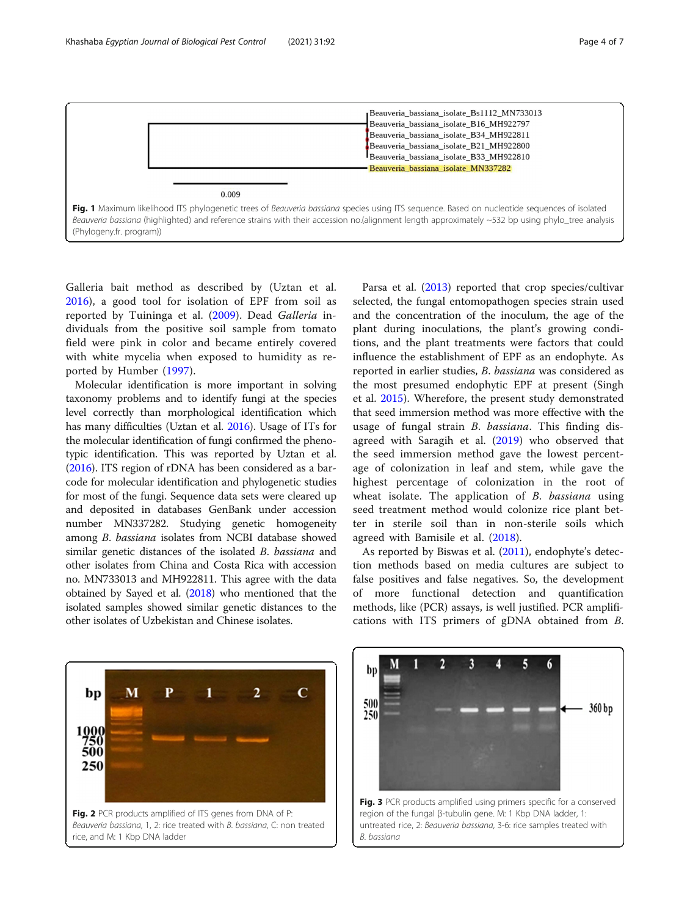<span id="page-3-0"></span>

Galleria bait method as described by (Uztan et al. [2016\)](#page-6-0), a good tool for isolation of EPF from soil as reported by Tuininga et al. [\(2009](#page-6-0)). Dead Galleria individuals from the positive soil sample from tomato field were pink in color and became entirely covered with white mycelia when exposed to humidity as reported by Humber ([1997\)](#page-5-0).

Molecular identification is more important in solving taxonomy problems and to identify fungi at the species level correctly than morphological identification which has many difficulties (Uztan et al. [2016\)](#page-6-0). Usage of ITs for the molecular identification of fungi confirmed the phenotypic identification. This was reported by Uztan et al. ([2016](#page-6-0)). ITS region of rDNA has been considered as a barcode for molecular identification and phylogenetic studies for most of the fungi. Sequence data sets were cleared up and deposited in databases GenBank under accession number MN337282. Studying genetic homogeneity among B. bassiana isolates from NCBI database showed similar genetic distances of the isolated B. bassiana and other isolates from China and Costa Rica with accession no. MN733013 and MH922811. This agree with the data obtained by Sayed et al. [\(2018\)](#page-5-0) who mentioned that the isolated samples showed similar genetic distances to the other isolates of Uzbekistan and Chinese isolates.

Parsa et al. ([2013\)](#page-5-0) reported that crop species/cultivar selected, the fungal entomopathogen species strain used and the concentration of the inoculum, the age of the plant during inoculations, the plant's growing conditions, and the plant treatments were factors that could influence the establishment of EPF as an endophyte. As reported in earlier studies, B. bassiana was considered as the most presumed endophytic EPF at present (Singh et al. [2015](#page-5-0)). Wherefore, the present study demonstrated that seed immersion method was more effective with the usage of fungal strain *B. bassiana*. This finding disagreed with Saragih et al. [\(2019](#page-5-0)) who observed that the seed immersion method gave the lowest percentage of colonization in leaf and stem, while gave the highest percentage of colonization in the root of wheat isolate. The application of B. bassiana using seed treatment method would colonize rice plant better in sterile soil than in non-sterile soils which agreed with Bamisile et al. [\(2018](#page-5-0)).

As reported by Biswas et al. ([2011](#page-5-0)), endophyte's detection methods based on media cultures are subject to false positives and false negatives. So, the development of more functional detection and quantification methods, like (PCR) assays, is well justified. PCR amplifications with ITS primers of gDNA obtained from B.



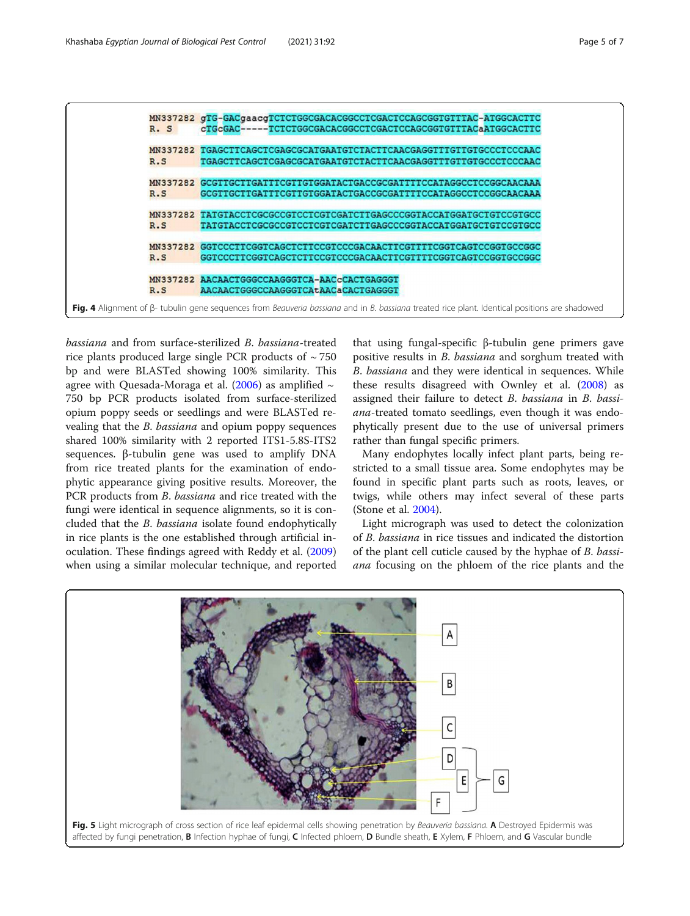<span id="page-4-0"></span>

bassiana and from surface-sterilized B. bassiana-treated rice plants produced large single PCR products of  $\sim$  750 bp and were BLASTed showing 100% similarity. This agree with Quesada-Moraga et al. [\(2006\)](#page-5-0) as amplified  $\sim$ 750 bp PCR products isolated from surface-sterilized opium poppy seeds or seedlings and were BLASTed revealing that the B. bassiana and opium poppy sequences shared 100% similarity with 2 reported ITS1-5.8S-ITS2 sequences. β-tubulin gene was used to amplify DNA from rice treated plants for the examination of endophytic appearance giving positive results. Moreover, the PCR products from *B. bassiana* and rice treated with the fungi were identical in sequence alignments, so it is concluded that the B. bassiana isolate found endophytically in rice plants is the one established through artificial inoculation. These findings agreed with Reddy et al. ([2009](#page-5-0)) when using a similar molecular technique, and reported

that using fungal-specific β-tubulin gene primers gave positive results in B. bassiana and sorghum treated with B. bassiana and they were identical in sequences. While these results disagreed with Ownley et al. ([2008](#page-5-0)) as assigned their failure to detect B. bassiana in B. bassiana-treated tomato seedlings, even though it was endophytically present due to the use of universal primers rather than fungal specific primers.

Many endophytes locally infect plant parts, being restricted to a small tissue area. Some endophytes may be found in specific plant parts such as roots, leaves, or twigs, while others may infect several of these parts (Stone et al. [2004](#page-6-0)).

Light micrograph was used to detect the colonization of B. bassiana in rice tissues and indicated the distortion of the plant cell cuticle caused by the hyphae of B. bassiana focusing on the phloem of the rice plants and the

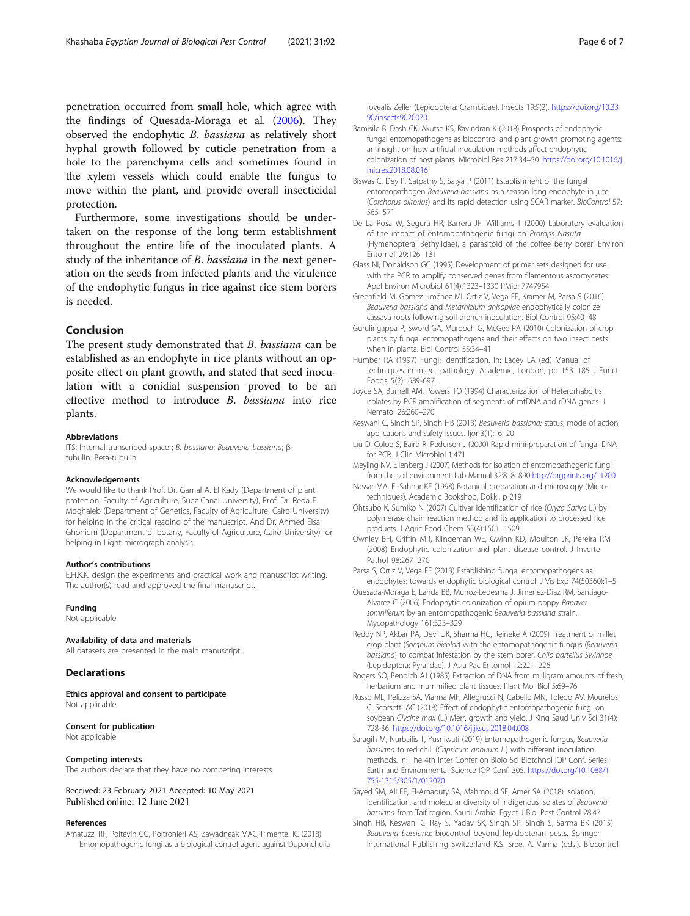<span id="page-5-0"></span>penetration occurred from small hole, which agree with the findings of Quesada-Moraga et al. (2006). They observed the endophytic B. bassiana as relatively short hyphal growth followed by cuticle penetration from a hole to the parenchyma cells and sometimes found in the xylem vessels which could enable the fungus to move within the plant, and provide overall insecticidal protection.

Furthermore, some investigations should be undertaken on the response of the long term establishment throughout the entire life of the inoculated plants. A study of the inheritance of B. bassiana in the next generation on the seeds from infected plants and the virulence of the endophytic fungus in rice against rice stem borers is needed.

## Conclusion

The present study demonstrated that B. bassiana can be established as an endophyte in rice plants without an opposite effect on plant growth, and stated that seed inoculation with a conidial suspension proved to be an effective method to introduce B. bassiana into rice plants.

#### Abbreviations

ITS: Internal transcribed spacer; B. bassiana: Beauveria bassiana; βtubulin: Beta-tubulin

#### Acknowledgements

We would like to thank Prof. Dr. Gamal A. El Kady (Department of plant protecion, Faculty of Agriculture, Suez Canal University), Prof. Dr. Reda E. Moghaieb (Department of Genetics, Faculty of Agriculture, Cairo University) for helping in the critical reading of the manuscript. And Dr. Ahmed Eisa Ghoniem (Department of botany, Faculty of Agriculture, Cairo University) for helping in Light micrograph analysis.

#### Author's contributions

E.H.K.K. design the experiments and practical work and manuscript writing. The author(s) read and approved the final manuscript.

#### Funding

Not applicable.

#### Availability of data and materials

All datasets are presented in the main manuscript.

#### **Declarations**

Ethics approval and consent to participate Not applicable

#### Consent for publication Not applicable.

#### Competing interests

The authors declare that they have no competing interests.

#### Received: 23 February 2021 Accepted: 10 May 2021 Published online: 12 June 2021

#### References

Amatuzzi RF, Poitevin CG, Poltronieri AS, Zawadneak MAC, Pimentel IC (2018) Entomopathogenic fungi as a biological control agent against Duponchelia fovealis Zeller (Lepidoptera: Crambidae). Insects 19:9(2). [https://doi.org/10.33](https://doi.org/10.3390/insects9020070) [90/insects9020070](https://doi.org/10.3390/insects9020070)

- Bamisile B, Dash CK, Akutse KS, Ravindran K (2018) Prospects of endophytic fungal entomopathogens as biocontrol and plant growth promoting agents: an insight on how artificial inoculation methods affect endophytic colonization of host plants. Microbiol Res 217:34–50. [https://doi.org/10.1016/j.](https://doi.org/10.1016/j.micres.2018.08.016) [micres.2018.08.016](https://doi.org/10.1016/j.micres.2018.08.016)
- Biswas C, Dey P, Satpathy S, Satya P (2011) Establishment of the fungal entomopathogen Beauveria bassiana as a season long endophyte in jute (Corchorus olitorius) and its rapid detection using SCAR marker. BioControl 57: 565–571
- De La Rosa W, Segura HR, Barrera JF, Williams T (2000) Laboratory evaluation of the impact of entomopathogenic fungi on Prorops Nasuta (Hymenoptera: Bethylidae), a parasitoid of the coffee berry borer. Environ Entomol 29:126–131
- Glass NI, Donaldson GC (1995) Development of primer sets designed for use with the PCR to amplify conserved genes from filamentous ascomycetes. Appl Environ Microbiol 61(4):1323–1330 PMid: 7747954
- Greenfield M, Gómez Jiménez MI, Ortiz V, Vega FE, Kramer M, Parsa S (2016) Beauveria bassiana and Metarhizium anisopliae endophytically colonize cassava roots following soil drench inoculation. Biol Control 95:40–48
- Gurulingappa P, Sword GA, Murdoch G, McGee PA (2010) Colonization of crop plants by fungal entomopathogens and their effects on two insect pests when in planta. Biol Control 55:34–41
- Humber RA (1997) Fungi: identification. In: Lacey LA (ed) Manual of techniques in insect pathology. Academic, London, pp 153–185 J Funct Foods 5(2): 689-697.
- Joyce SA, Burnell AM, Powers TO (1994) Characterization of Heterorhabditis isolates by PCR amplification of segments of mtDNA and rDNA genes. J Nematol 26:260–270
- Keswani C, Singh SP, Singh HB (2013) Beauveria bassiana: status, mode of action, applications and safety issues. Ijor 3(1):16–20
- Liu D, Coloe S, Baird R, Pedersen J (2000) Rapid mini-preparation of fungal DNA for PCR. J Clin Microbiol 1:471
- Meyling NV, Eilenberg J (2007) Methods for isolation of entomopathogenic fungi from the soil environment. Lab Manual 32:818–890 <http://orgprints.org/11200>
- Nassar MA, El-Sahhar KF (1998) Botanical preparation and microscopy (Microtechniques). Academic Bookshop, Dokki, p 219
- Ohtsubo K, Sumiko N (2007) Cultivar identification of rice (Oryza Sativa L.) by polymerase chain reaction method and its application to processed rice products. J Agric Food Chem 55(4):1501–1509
- Ownley BH, Griffin MR, Klingeman WE, Gwinn KD, Moulton JK, Pereira RM (2008) Endophytic colonization and plant disease control. J Inverte Pathol 98:267–270
- Parsa S, Ortiz V, Vega FE (2013) Establishing fungal entomopathogens as endophytes: towards endophytic biological control. J Vis Exp 74(50360):1–5
- Quesada-Moraga E, Landa BB, Munoz-Ledesma J, Jimenez-Diaz RM, Santiago-Alvarez C (2006) Endophytic colonization of opium poppy Papaver somniferum by an entomopathogenic Beauveria bassiana strain. Mycopathology 161:323–329
- Reddy NP, Akbar PA, Devi UK, Sharma HC, Reineke A (2009) Treatment of millet crop plant (Sorghum bicolor) with the entomopathogenic fungus (Beauveria bassiana) to combat infestation by the stem borer, Chilo partellus Swinhoe (Lepidoptera: Pyralidae). J Asia Pac Entomol 12:221–226
- Rogers SO, Bendich AJ (1985) Extraction of DNA from milligram amounts of fresh, herbarium and mummified plant tissues. Plant Mol Biol 5:69–76
- Russo ML, Pelizza SA, Vianna MF, Allegrucci N, Cabello MN, Toledo AV, Mourelos C, Scorsetti AC (2018) Effect of endophytic entomopathogenic fungi on soybean Glycine max (L.) Merr. growth and yield. J King Saud Univ Sci 31(4): 728-36. <https://doi.org/10.1016/j.jksus.2018.04.008>
- Saragih M, Nurbailis T, Yusniwati (2019) Entomopathogenic fungus, Beauveria bassiana to red chili (Capsicum annuum L.) with different inoculation methods. In: The 4th Inter Confer on Biolo Sci Biotchnol IOP Conf. Series: Earth and Environmental Science IOP Conf. 305. [https://doi.org/10.1088/1](https://doi.org/10.1088/1755-1315/305/1/012070) [755-1315/305/1/012070](https://doi.org/10.1088/1755-1315/305/1/012070)
- Sayed SM, Ali EF, El-Arnaouty SA, Mahmoud SF, Amer SA (2018) Isolation, identification, and molecular diversity of indigenous isolates of Beauveria bassiana from Taif region, Saudi Arabia. Egypt J Biol Pest Control 28:47
- Singh HB, Keswani C, Ray S, Yadav SK, Singh SP, Singh S, Sarma BK (2015) Beauveria bassiana: biocontrol beyond lepidopteran pests. Springer International Publishing Switzerland K.S. Sree, A. Varma (eds.). Biocontrol